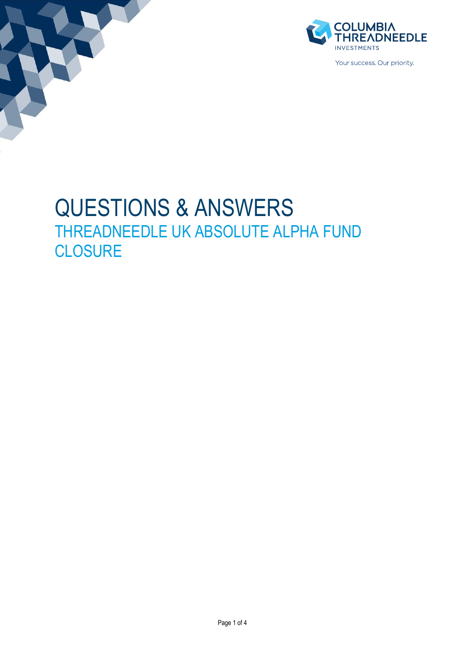



Your success. Our priority

# QUESTIONS & ANSWERS THREADNEEDLE UK ABSOLUTE ALPHA FUND **CLOSURE**

Page 1 of 4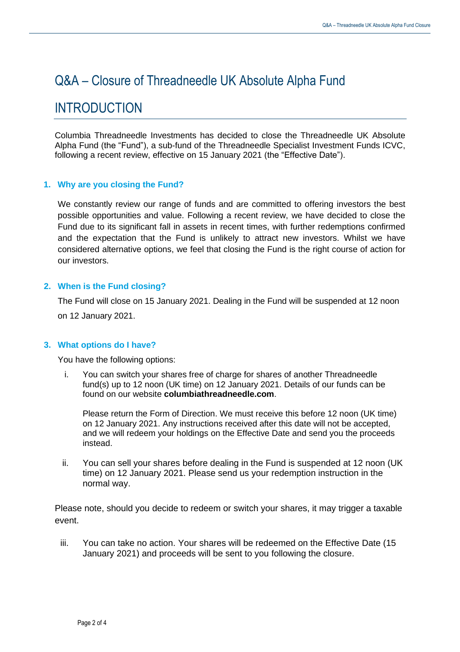# Q&A – Closure of Threadneedle UK Absolute Alpha Fund

## INTRODUCTION

Columbia Threadneedle Investments has decided to close the Threadneedle UK Absolute Alpha Fund (the "Fund"), a sub-fund of the Threadneedle Specialist Investment Funds ICVC, following a recent review, effective on 15 January 2021 (the "Effective Date").

## **1. Why are you closing the Fund?**

We constantly review our range of funds and are committed to offering investors the best possible opportunities and value. Following a recent review, we have decided to close the Fund due to its significant fall in assets in recent times, with further redemptions confirmed and the expectation that the Fund is unlikely to attract new investors. Whilst we have considered alternative options, we feel that closing the Fund is the right course of action for our investors.

## **2. When is the Fund closing?**

The Fund will close on 15 January 2021. Dealing in the Fund will be suspended at 12 noon on 12 January 2021.

#### **3. What options do I have?**

You have the following options:

i. You can switch your shares free of charge for shares of another Threadneedle fund(s) up to 12 noon (UK time) on 12 January 2021. Details of our funds can be found on our website **[columbiathreadneedle.com](http://columbiathreadneedle.com/)**.

Please return the Form of Direction. We must receive this before 12 noon (UK time) on 12 January 2021. Any instructions received after this date will not be accepted, and we will redeem your holdings on the Effective Date and send you the proceeds instead.

ii. You can sell your shares before dealing in the Fund is suspended at 12 noon (UK time) on 12 January 2021. Please send us your redemption instruction in the normal way.

Please note, should you decide to redeem or switch your shares, it may trigger a taxable event.

iii. You can take no action. Your shares will be redeemed on the Effective Date (15 January 2021) and proceeds will be sent to you following the closure.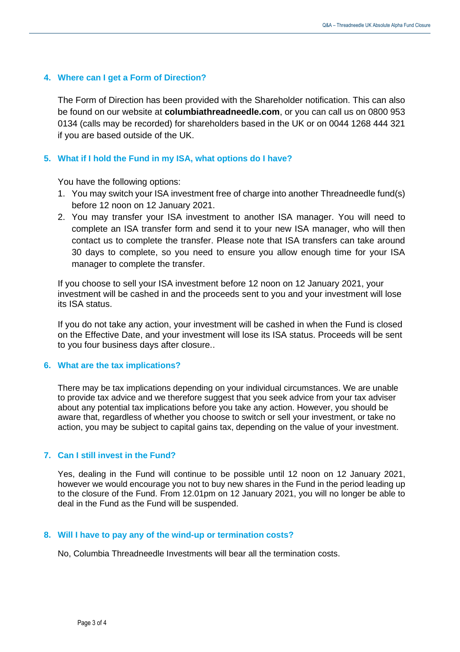#### **4. Where can I get a Form of Direction?**

The Form of Direction has been provided with the Shareholder notification. This can also be found on our website at **[columbiathreadneedle.com](http://columbiathreadneedle.com/)**, or you can call us on 0800 953 0134 (calls may be recorded) for shareholders based in the UK or on 0044 1268 444 321 if you are based outside of the UK.

#### **5. What if I hold the Fund in my ISA, what options do I have?**

You have the following options:

- 1. You may switch your ISA investment free of charge into another Threadneedle fund(s) before 12 noon on 12 January 2021.
- 2. You may transfer your ISA investment to another ISA manager. You will need to complete an ISA transfer form and send it to your new ISA manager, who will then contact us to complete the transfer. Please note that ISA transfers can take around 30 days to complete, so you need to ensure you allow enough time for your ISA manager to complete the transfer.

If you choose to sell your ISA investment before 12 noon on 12 January 2021, your investment will be cashed in and the proceeds sent to you and your investment will lose its ISA status.

If you do not take any action, your investment will be cashed in when the Fund is closed on the Effective Date, and your investment will lose its ISA status. Proceeds will be sent to you four business days after closure..

#### **6. What are the tax implications?**

There may be tax implications depending on your individual circumstances. We are unable to provide tax advice and we therefore suggest that you seek advice from your tax adviser about any potential tax implications before you take any action. However, you should be aware that, regardless of whether you choose to switch or sell your investment, or take no action, you may be subject to capital gains tax, depending on the value of your investment.

#### **7. Can I still invest in the Fund?**

Yes, dealing in the Fund will continue to be possible until 12 noon on 12 January 2021, however we would encourage you not to buy new shares in the Fund in the period leading up to the closure of the Fund. From 12.01pm on 12 January 2021, you will no longer be able to deal in the Fund as the Fund will be suspended.

#### **8. Will I have to pay any of the wind-up or termination costs?**

No, Columbia Threadneedle Investments will bear all the termination costs.